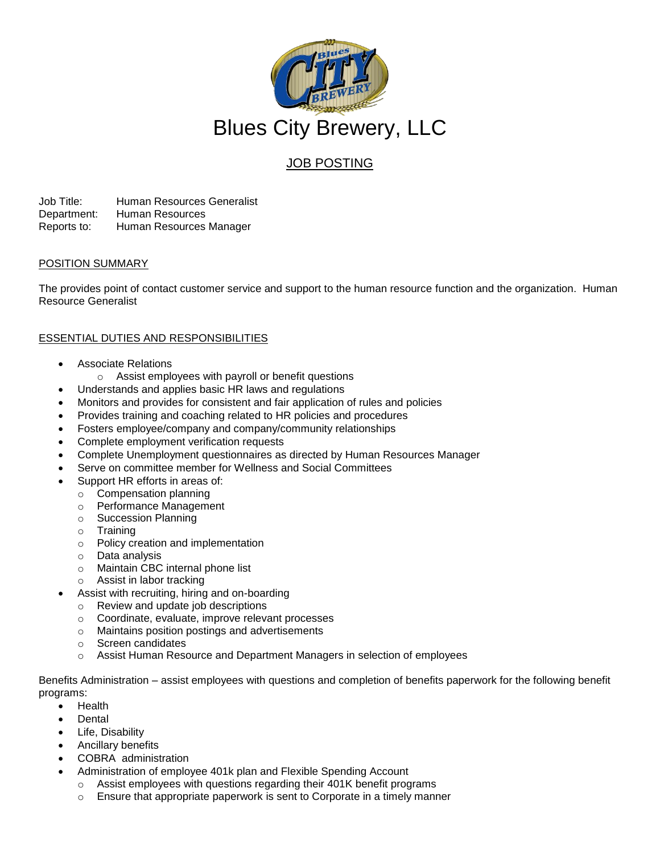

# JOB POSTING

Job Title: Human Resources Generalist Department: Human Resources Reports to: Human Resources Manager

## POSITION SUMMARY

The provides point of contact customer service and support to the human resource function and the organization. Human Resource Generalist

# ESSENTIAL DUTIES AND RESPONSIBILITIES

- Associate Relations
	- o Assist employees with payroll or benefit questions
- Understands and applies basic HR laws and regulations
- Monitors and provides for consistent and fair application of rules and policies
- Provides training and coaching related to HR policies and procedures
- Fosters employee/company and company/community relationships
- Complete employment verification requests
- Complete Unemployment questionnaires as directed by Human Resources Manager
- Serve on committee member for Wellness and Social Committees
- Support HR efforts in areas of:
- o Compensation planning
	- o Performance Management
	- o Succession Planning
	- o Training
	- o Policy creation and implementation
	- o Data analysis
- o Maintain CBC internal phone list
- o Assist in labor tracking
- Assist with recruiting, hiring and on-boarding
	- o Review and update job descriptions
	- o Coordinate, evaluate, improve relevant processes
	- o Maintains position postings and advertisements
	- o Screen candidates
	- Assist Human Resource and Department Managers in selection of employees

Benefits Administration – assist employees with questions and completion of benefits paperwork for the following benefit programs:

- Health
	- Dental
- Life, Disability
- Ancillary benefits
- COBRA administration
- Administration of employee 401k plan and Flexible Spending Account
	- o Assist employees with questions regarding their 401K benefit programs
	- o Ensure that appropriate paperwork is sent to Corporate in a timely manner